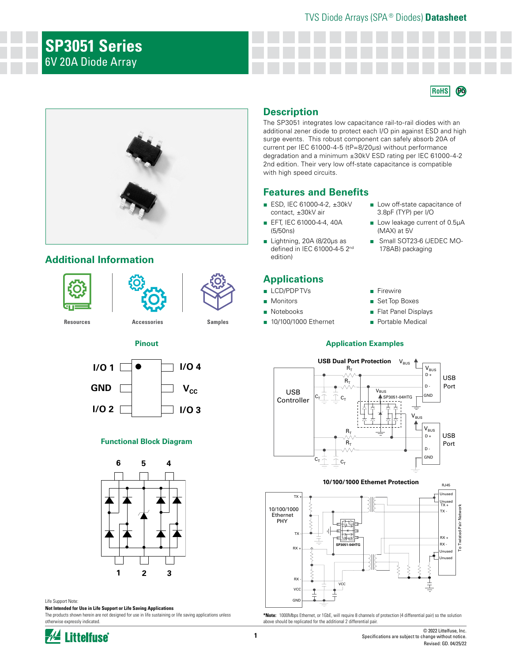# **SP3051 Series** 6V 20A Diode Array



# **Additional Information**





**[Resources](https://www.littelfuse.com/products/tvs-diode-arrays/lightning-surge-protection/sp3051#TechnicalResources) [Accessories](https://www.littelfuse.com/products/tvs-diode-arrays/lightning-surge-protection/sp3051#EnvironmentalInfo) [Samples](https://www.littelfuse.com/products/tvs-diode-arrays/lightning-surge-protection/sp3051#ElectricalCharacteristics)**



**Pinout**

#### **Functional Block Diagram**



#### Life Support Note:

**Not Intended for Use in Life Support or Life Saving Applications**

The products shown herein are not designed for use in life sustaining or life saving applications unless otherwise expressly indicated.

# **Description**

The SP3051 integrates low capacitance rail-to-rail diodes with an additional zener diode to protect each I/O pin against ESD and high surge events. This robust component can safely absorb 20A of current per IEC 61000-4-5 (tP=8/20µs) without performance degradation and a minimum ±30kV ESD rating per IEC 61000-4-2 2nd edition. Their very low off-state capacitance is compatible with high speed circuits.

### **Features and Benefits**

- ESD, IEC 61000-4-2, ±30kV contact, ±30kV air
- EFT, IEC 61000-4-4, 40A (5/50ns)
- Lightning, 20A (8/20μs as defined in IEC 61000-4-5 2nd edition)

# **Applications**

- LCD/PDP TVs
- Monitors
- Notebooks
- 10/100/1000 Ethernet

■ Low off-state capacitance of 3.8pF (TYP) per I/O

**RoHS Pb**

- Low leakage current of 0.5µA (MAX) at 5V
- Small SOT23-6 (JEDEC MO-178AB) packaging
- Firewire
- Set Top Boxes
- Flat Panel Displays
- Portable Medical

#### **Application Examples**





**\*Note:** 1000Mbps Ethernet, or 1GbE, will require 8 channels of protection (4 differential pair) so the solution above should be replicated for the additional 2 differential pair.

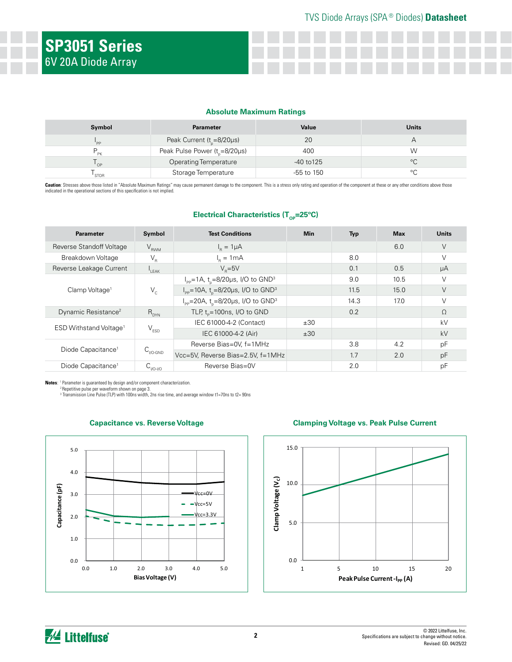#### **Absolute Maximum Ratings**

| Symbol  | <b>Parameter</b>                    | Value          | <b>Units</b> |
|---------|-------------------------------------|----------------|--------------|
| 'PP     | Peak Current $(t_{0} = 8/20 \mu s)$ | 20             |              |
| D<br>ÞK | Peak Pulse Power $(tn=8/20\mu s)$   | 400            | W            |
| ' OP    | <b>Operating Temperature</b>        | $-40$ to $125$ | °C           |
|         | Storage Temperature                 | $-55$ to 150   |              |

Caution: Stresses above those listed in "Absolute Maximum Ratings" may cause permanent damage to the component. This is a stress only rating and operation of the component at these or any other conditions above those indicated in the operational sections of this specification is not implied.

**Electrical Characteristics (T<sub>op</sub>=25°C)** 

| <b>Parameter</b>                   | Symbol                  | <b>Test Conditions</b>                                                 | <b>Min</b> | <b>Typ</b> | <b>Max</b> | <b>Units</b> |
|------------------------------------|-------------------------|------------------------------------------------------------------------|------------|------------|------------|--------------|
| <b>Reverse Standoff Voltage</b>    | $V_{RWM}$               | $I_{p} = 1 \mu A$                                                      |            |            | 6.0        | $\vee$       |
| Breakdown Voltage                  | $V_{R}$                 | $I_{p} = 1mA$                                                          |            | 8.0        |            | $\vee$       |
| Reverse Leakage Current            | $L_{\text{EAK}}$        | $V_{\rm B} = 5V$                                                       |            | 0.1        | 0.5        | μA           |
| Clamp Voltage <sup>1</sup>         | $V_c$                   | $I_{\text{pp}} = 1$ A, t <sub>n</sub> =8/20µs, I/O to GND <sup>3</sup> |            | 9.0        | 10.5       | $\vee$       |
|                                    |                         | $I_{\rm pp}$ =10A, t <sub>n</sub> =8/20µs, I/O to GND <sup>3</sup>     |            | 11.5       | 15.0       | V            |
|                                    |                         | $I_{\text{pp}}$ =20A, t <sub>n</sub> =8/20µs, I/O to GND <sup>3</sup>  |            | 14.3       | 17.0       | $\vee$       |
| Dynamic Resistance <sup>2</sup>    | $R_{DYN}$               | TLP, $t_p = 100$ ns, I/O to GND                                        |            | 0.2        |            | $\Omega$     |
| ESD Withstand Voltage <sup>1</sup> | $V_{ESD}$               | IEC 61000-4-2 (Contact)                                                | ±30        |            |            | kV           |
|                                    |                         | IEC 61000-4-2 (Air)                                                    | ±30        |            |            | kV           |
| Diode Capacitance <sup>1</sup>     | $C_{_{\text{I/O-GND}}}$ | Reverse Bias=0V, f=1MHz                                                |            | 3.8        | 4.2        | pF           |
|                                    |                         | Vcc=5V, Reverse Bias=2.5V, f=1MHz                                      |            | 1.7        | 2.0        | pF           |
| Diode Capacitance <sup>1</sup>     | <b>PIIO-1/0</b>         | Reverse Bias=0V                                                        |            | 2.0        |            | pF           |

**Notes:** <sup>1</sup> Parameter is guaranteed by design and/or component characterization.<br><sup>2</sup> Repetitive pulse per waveform shown on page 3.

 $^3$  Transmission Line Pulse (TLP) with 100ns width, 2ns rise time, and average window t1=70ns to t2= 90ns



#### **Capacitance vs. Reverse Voltage Clamping Voltage vs. Peak Pulse Current**

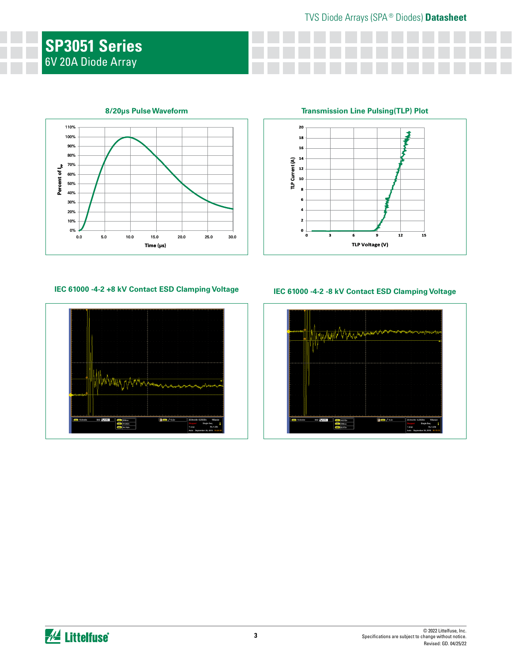# **SP3051 Series** 6V 20A Diode Array



#### **8/20μs Pulse Waveform**

# **Transmission Line Pulsing(TLP) Plot**



## **IEC 61000 -4-2 +8 kV Contact ESD Clamping Voltage IEC 61000 -4-2 -8 kV Contact ESD Clamping Voltage**



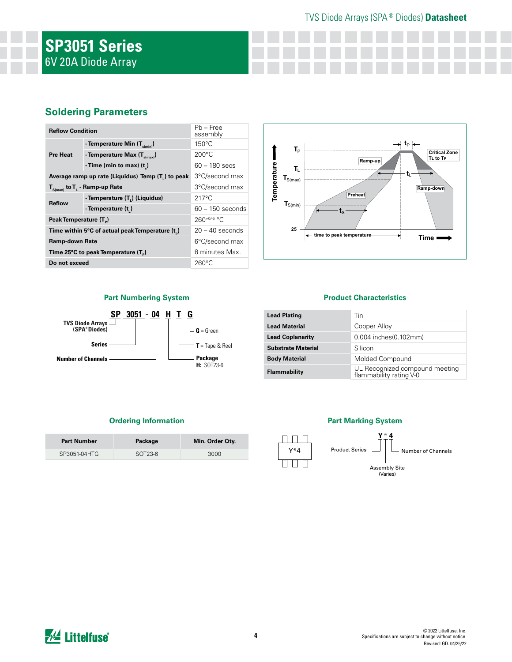# **SP3051 Series** 6V 20A Diode Array

# **Soldering Parameters**

| <b>Reflow Condition</b>                                        | $Pb - Free$<br>assembly                  |                    |  |
|----------------------------------------------------------------|------------------------------------------|--------------------|--|
| <b>Pre Heat</b>                                                | - Temperature Min (T <sub>s(min)</sub> ) | $150^{\circ}$ C    |  |
|                                                                | - Temperature Max $(T_{s(max)})$         | $200^{\circ}$ C    |  |
|                                                                | - Time (min to max) $(t_2)$              | $60 - 180$ secs    |  |
| Average ramp up rate (Liquidus) Temp (T <sub>1</sub> ) to peak | 3°C/second max                           |                    |  |
| $T_{S(max)}$ to $T_{L}$ - Ramp-up Rate                         | 3°C/second max                           |                    |  |
| <b>Reflow</b>                                                  | - Temperature (T.) (Liquidus)            | $217^{\circ}$ C    |  |
|                                                                | - Temperature (t.)                       | $60 - 150$ seconds |  |
| Peak Temperature (T <sub>a</sub> )                             | $260^{+0/5}$ °C                          |                    |  |
| Time within 5°C of actual peak Temperature (t)                 | $20 - 40$ seconds                        |                    |  |
| Ramp-down Rate                                                 |                                          | 6°C/second max     |  |
| Time 25°C to peak Temperature (T <sub>a</sub> )                | 8 minutes Max.                           |                    |  |
| Do not exceed                                                  | $260^{\circ}$ C                          |                    |  |



#### **Part Numbering System**



#### **Product Characteristics**

| <b>Lead Plating</b>       | Tin                                                       |
|---------------------------|-----------------------------------------------------------|
| <b>Lead Material</b>      | Copper Alloy                                              |
| <b>Lead Coplanarity</b>   | 0.004 inches(0.102mm)                                     |
| <b>Substrate Material</b> | Silicon                                                   |
| <b>Body Material</b>      | Molded Compound                                           |
| <b>Flammability</b>       | UL Recognized compound meeting<br>flammability rating V-0 |

#### **Ordering Information**

| <b>Part Number</b> | Package   | Min. Order Oty. |
|--------------------|-----------|-----------------|
| SP3051-04HTG       | $SOT23-6$ | 3000            |

#### **Part Marking System**